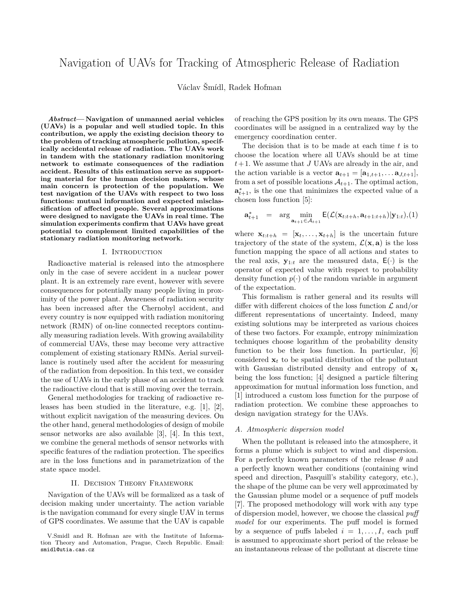# Navigation of UAVs for Tracking of Atmospheric Release of Radiation

Václav Šmídl, Radek Hofman

*Abstract***— Navigation of unmanned aerial vehicles (UAVs) is a popular and well studied topic. In this contribution, we apply the existing decision theory to the problem of tracking atmospheric pollution, specifically accidental release of radiation. The UAVs work in tandem with the stationary radiation monitoring network to estimate consequences of the radiation accident. Results of this estimation serve as supporting material for the human decision makers, whose main concern is protection of the population. We test navigation of the UAVs with respect to two loss functions: mutual information and expected misclassification of affected people. Several approximations were designed to navigate the UAVs in real time. The simulation experiments confirm that UAVs have great potential to complement limited capabilities of the stationary radiation monitoring network.**

#### I. Introduction

Radioactive material is released into the atmosphere only in the case of severe accident in a nuclear power plant. It is an extremely rare event, however with severe consequences for potentially many people living in proximity of the power plant. Awareness of radiation security has been increased after the Chernobyl accident, and every country is now equipped with radiation monitoring network (RMN) of on-line connected receptors continually measuring radiation levels. With growing availability of commercial UAVs, these may become very attractive complement of existing stationary RMNs. Aerial surveillance is routinely used after the accident for measuring of the radiation from deposition. In this text, we consider the use of UAVs in the early phase of an accident to track the radioactive cloud that is still moving over the terrain.

General methodologies for tracking of radioactive releases has been studied in the literature, e.g. [1], [2], without explicit navigation of the measuring devices. On the other hand, general methodologies of design of mobile sensor networks are also available [3], [4]. In this text, we combine the general methods of sensor networks with specific features of the radiation protection. The specifics are in the loss functions and in parametrization of the state space model.

## II. Decision Theory Framework

Navigation of the UAVs will be formalized as a task of decision making under uncertainty. The action variable is the navigation command for every single UAV in terms of GPS coordinates. We assume that the UAV is capable

of reaching the GPS position by its own means. The GPS coordinates will be assigned in a centralized way by the emergency coordination center.

The decision that is to be made at each time *t* is to choose the location where all UAVs should be at time *t*+ 1. We assume that *J* UAVs are already in the air, and the action variable is a vector  $\mathbf{a}_{t+1} = [\mathbf{a}_{1,t+1}, \dots \mathbf{a}_{J,t+1}],$ from a set of possible locations  $A_{t+1}$ . The optimal action,  $\mathbf{a}_{t+1}^*$ , is the one that minimizes the expected value of a chosen loss function [5]:

$$
\mathbf{a}_{t+1}^* = \arg\min_{\mathbf{a}_{t+1}\in\mathcal{A}_{t+1}} \mathsf{E}(\mathcal{L}(\mathbf{x}_{t:t+h}, \mathbf{a}_{t+1:t+h})|\mathbf{y}_{1:t}), (1)
$$

where  $\mathbf{x}_{t:t+h} = [\mathbf{x}_t, \dots, \mathbf{x}_{t+h}]$  is the uncertain future trajectory of the state of the system,  $\mathcal{L}(\mathbf{x}, \mathbf{a})$  is the loss function mapping the space of all actions and states to the real axis,  $y_{1:t}$  are the measured data,  $E(\cdot)$  is the operator of expected value with respect to probability density function  $p(\cdot)$  of the random variable in argument of the expectation.

This formalism is rather general and its results will differ with different choices of the loss function  $\mathcal L$  and/or different representations of uncertainty. Indeed, many existing solutions may be interpreted as various choices of these two factors. For example, entropy minimization techniques choose logarithm of the probability density function to be their loss function. In particular, [6] considered  $\mathbf{x}_t$  to be spatial distribution of the pollutant with Gaussian distributed density and entropy of  $x_t$ being the loss function; [4] designed a particle filtering approximation for mutual information loss function, and [1] introduced a custom loss function for the purpose of radiation protection. We combine these approaches to design navigation strategy for the UAVs.

## *A. Atmospheric dispersion model*

When the pollutant is released into the atmosphere, it forms a plume which is subject to wind and dispersion. For a perfectly known parameters of the release *θ* and a perfectly known weather conditions (containing wind speed and direction, Pasquill's stability category, etc.), the shape of the plume can be very well approximated by the Gaussian plume model or a sequence of puff models [7]. The proposed methodology will work with any type of dispersion model, however, we choose the classical *puff model* for our experiments. The puff model is formed by a sequence of puffs labeled  $i = 1, \ldots, I$ , each puff is assumed to approximate short period of the release be an instantaneous release of the pollutant at discrete time

V.Smidl and R. Hofman are with the Institute of Information Theory and Automation, Prague, Czech Republic. Email: smidl@utia.cas.cz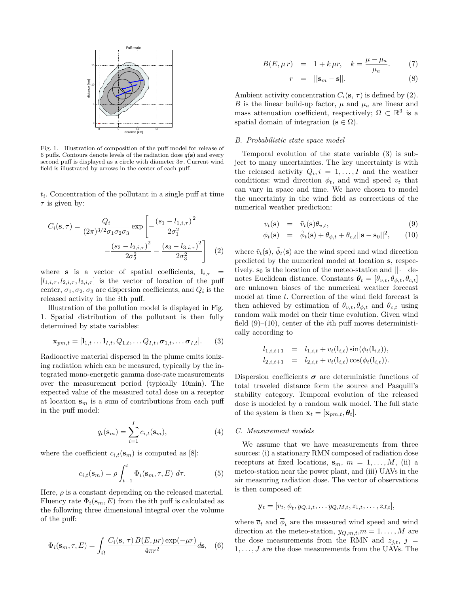

Fig. 1. Illustration of composition of the puff model for release of 6 puffs. Contours denote levels of the radiation dose  $q(s)$  and every second puff is displayed as a circle with diameter 3*σ*. Current wind field is illustrated by arrows in the center of each puff.

*ti* . Concentration of the pollutant in a single puff at time *τ* is given by:

$$
C_i(\mathbf{s}, \tau) = \frac{Q_i}{(2\pi)^{3/2} \sigma_1 \sigma_2 \sigma_3} \exp\left[-\frac{(s_1 - l_{1,i,\tau})^2}{2\sigma_1^2} -\frac{(s_2 - l_{2,i,\tau})^2}{2\sigma_2^2} - \frac{(s_3 - l_{3,i,\tau})^2}{2\sigma_3^2}\right] \tag{2}
$$

where **s** is a vector of spatial coefficients,  $\mathbf{l}_{i,\tau}$  $[l_{1,i,\tau}, l_{2,i,\tau}, l_{3,i,\tau}]$  is the vector of location of the puff center,  $\sigma_1, \sigma_2, \sigma_3$  are dispersion coefficients, and  $Q_i$  is the released activity in the *i*th puff.

Illustration of the pollution model is displayed in Fig. 1. Spatial distribution of the pollutant is then fully determined by state variables:

$$
\mathbf{x}_{pm,t} = [\mathbf{l}_{1,t} \dots \mathbf{l}_{I,t}, Q_{1,t}, \dots Q_{I,t}, \boldsymbol{\sigma}_{1,t}, \dots \boldsymbol{\sigma}_{I,t}]. \tag{3}
$$

Radioactive material dispersed in the plume emits ionizing radiation which can be measured, typically by the integrated mono-energetic gamma dose-rate measurements over the measurement period (typically 10min). The expected value of the measured total dose on a receptor at location **s***<sup>m</sup>* is a sum of contributions from each puff in the puff model:

$$
q_t(\mathbf{s}_m) = \sum_{i=1}^I c_{i,t}(\mathbf{s}_m),
$$
\n(4)

where the coefficient  $c_{i,t}(\mathbf{s}_m)$  is computed as [8]:

$$
c_{i,t}(\mathbf{s}_m) = \rho \int_{t-1}^t \Phi_i(\mathbf{s}_m, \tau, E) d\tau.
$$
 (5)

Here,  $\rho$  is a constant depending on the released material. Fluency rate  $\Phi_i(\mathbf{s}_m, E)$  from the *i*th puff is calculated as the following three dimensional integral over the volume of the puff:

$$
\Phi_i(\mathbf{s}_m, \tau, E) = \int_{\Omega} \frac{C_i(\mathbf{s}, \tau) B(E, \mu r) \exp(-\mu r)}{4\pi r^2} d\mathbf{s}, \quad (6)
$$

$$
B(E, \mu r) = 1 + k \mu r, \quad k = \frac{\mu - \mu_a}{\mu_a}.
$$
 (7)

$$
r = ||\mathbf{s}_m - \mathbf{s}||. \tag{8}
$$

Ambient activity concentration  $C_i(\mathbf{s}, \tau)$  is defined by (2). *B* is the linear build-up factor,  $\mu$  and  $\mu_a$  are linear and mass attenuation coefficient, respectively;  $\Omega \subset \mathbb{R}^3$  is a spatial domain of integration ( $\mathbf{s} \in \Omega$ ).

## *B. Probabilistic state space model*

Temporal evolution of the state variable (3) is subject to many uncertainties. The key uncertainty is with the released activity  $Q_i, i = 1, \ldots, I$  and the weather conditions: wind direction  $\phi_t$ , and wind speed  $v_t$  that can vary in space and time. We have chosen to model the uncertainty in the wind field as corrections of the numerical weather prediction:

$$
v_t(\mathbf{s}) = \tilde{v}_t(\mathbf{s}) \theta_{v,t}, \tag{9}
$$

$$
\phi_t(\mathbf{s}) = \tilde{\phi}_t(\mathbf{s}) + \theta_{\phi,t} + \theta_{c,t} ||\mathbf{s} - \mathbf{s}_0||^2, \qquad (10)
$$

where  $\tilde{v}_t(\mathbf{s})$ ,  $\tilde{\phi}_t(\mathbf{s})$  are the wind speed and wind direction predicted by the numerical model at location **s**, respectively.  $s_0$  is the location of the meteo-station and  $||\cdot||$  denotes Euclidean distance. Constants  $\theta_t = [\theta_{v,t}, \theta_{\phi,t}, \theta_{c,t}]$ are unknown biases of the numerical weather forecast model at time *t*. Correction of the wind field forecast is then achieved by estimation of  $\theta_{v,t}, \theta_{\phi,t}$  and  $\theta_{c,t}$  using random walk model on their time evolution. Given wind field (9)–(10), center of the *i*th puff moves deterministically according to

$$
l_{1,i,t+1} = l_{1,i,t} + v_t(l_{i,t}) \sin(\phi_t(l_{i,t})),
$$
  
\n
$$
l_{2,i,t+1} = l_{2,i,t} + v_t(l_{i,t}) \cos(\phi_t(l_{i,t})).
$$

Dispersion coefficients  $\sigma$  are deterministic functions of total traveled distance form the source and Pasquill's stability category. Temporal evolution of the released dose is modeled by a random walk model. The full state of the system is then  $\mathbf{x}_t = [\mathbf{x}_{pm,t}, \theta_t].$ 

#### *C. Measurement models*

We assume that we have measurements from three sources: (i) a stationary RMN composed of radiation dose receptors at fixed locations,  $\mathbf{s}_m$ ,  $m = 1, \ldots, M$ , (ii) a meteo-station near the power plant, and (iii) UAVs in the air measuring radiation dose. The vector of observations is then composed of:

$$
\mathbf{y}_t = [\overline{v}_t, \overline{\phi}_t, y_{Q,1,t}, \dots y_{Q,M,t}, z_{1,t}, \dots, z_{J,t}],
$$

where  $\overline{v}_t$  and  $\phi_t$  are the measured wind speed and wind direction at the meteo-station,  $y_{Q,m,t}, m = 1, \ldots, M$  are the dose measurements from the RMN and  $z_{i,t}$ ,  $j =$ 1*, . . . , J* are the dose measurements from the UAVs. The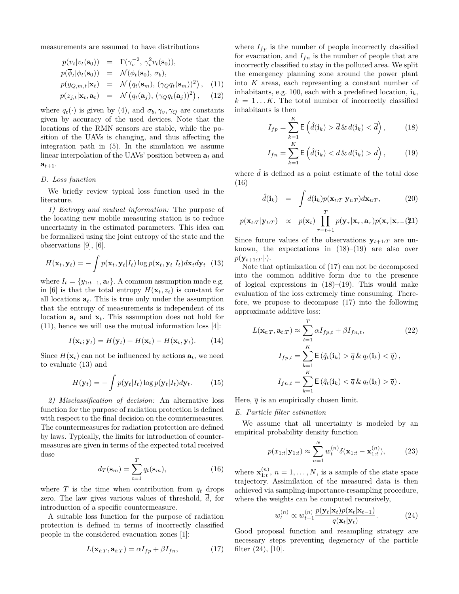measurements are assumed to have distributions

$$
p(\overline{v}_t|v_t(\mathbf{s}_0)) = \Gamma(\gamma_v^{-2}, \gamma_v^2 v_t(\mathbf{s}_0)),
$$
  
\n
$$
p(\overline{\phi}_t|\phi_t(\mathbf{s}_0)) = \mathcal{N}(\phi_t(\mathbf{s}_0), \sigma_b),
$$
  
\n
$$
p(y_{Q,m,t}|\mathbf{x}_t) = \mathcal{N}(q_t(\mathbf{s}_m), (\gamma_Q q_t(\mathbf{s}_m))^2),
$$
 (11)  
\n
$$
p(z_{j,t}|\mathbf{x}_t, \mathbf{a}_t) = \mathcal{N}(q_t(\mathbf{a}_j), (\gamma_Q q_t(\mathbf{a}_j))^2),
$$
 (12)

where  $q_t(\cdot)$  is given by (4), and  $\sigma_b, \gamma_v, \gamma_Q$  are constants given by accuracy of the used devices. Note that the locations of the RMN sensors are stable, while the position of the UAVs is changing, and thus affecting the integration path in (5). In the simulation we assume linear interpolation of the UAVs' position between  $a_t$  and  $a_{t+1}$ .

#### *D. Loss function*

We briefly review typical loss function used in the literature.

*1) Entropy and mutual information:* The purpose of the locating new mobile measuring station is to reduce uncertainty in the estimated parameters. This idea can be formalized using the joint entropy of the state and the observations [9], [6].

$$
H(\mathbf{x}_t, \mathbf{y}_t) = -\int p(\mathbf{x}_t, \mathbf{y}_t | I_t) \log p(\mathbf{x}_t, \mathbf{y}_t | I_t) d\mathbf{x}_t d\mathbf{y}_t
$$
 (13)

where  $I_t = \{y_{1:t-1}, \mathbf{a}_t\}$ . A common assumption made e.g. in [6] is that the total entropy  $H(\mathbf{x}_t, z_t)$  is constant for all locations  $\mathbf{a}_t$ . This is true only under the assumption that the entropy of measurements is independent of its location  $a_t$  and  $x_t$ . This assumption does not hold for  $(11)$ , hence we will use the mutual information loss [4]:

$$
I(\mathbf{x}_t; \mathbf{y}_t) = H(\mathbf{y}_t) + H(\mathbf{x}_t) - H(\mathbf{x}_t, \mathbf{y}_t). \qquad (14)
$$

Since  $H(\mathbf{x}_t)$  can not be influenced by actions  $\mathbf{a}_t$ , we need to evaluate (13) and

$$
H(\mathbf{y}_t) = -\int p(\mathbf{y}_t|I_t) \log p(\mathbf{y}_t|I_t) d\mathbf{y}_t.
$$
 (15)

*2) Misclassification of decision:* An alternative loss function for the purpose of radiation protection is defined with respect to the final decision on the countermeasures. The countermeasures for radiation protection are defined by laws. Typically, the limits for introduction of countermeasures are given in terms of the expected total received dose

$$
d_T(\mathbf{s}_m) = \sum_{t=1}^T q_t(\mathbf{s}_m),\tag{16}
$$

where  $T$  is the time when contribution from  $q_t$  drops zero. The law gives various values of threshold,  $\overline{d}$ , for introduction of a specific countermeasure.

A suitable loss function for the purpose of radiation protection is defined in terms of incorrectly classified people in the considered evacuation zones [1]:

$$
L(\mathbf{x}_{t:T}, \mathbf{a}_{t:T}) = \alpha I_{fp} + \beta I_{fn},\tag{17}
$$

where  $I_{fp}$  is the number of people incorrectly classified for evacuation, and  $I_{fn}$  is the number of people that are incorrectly classified to stay in the polluted area. We split the emergency planning zone around the power plant into *K* areas, each representing a constant number of inhabitants, e.g. 100, each with a predefined location,  $\mathbf{i}_k$ ,  $k = 1...K$ . The total number of incorrectly classified inhabitants is then

$$
I_{fp} = \sum_{k=1}^{K} \mathsf{E}\left(\hat{d}(\mathbf{i}_k) > \overline{d} \& d(\mathbf{i}_k) < \overline{d}\right),\tag{18}
$$

$$
I_{fn} = \sum_{k=1}^{K} \mathsf{E}\left(\hat{d}(\mathbf{i}_k) < \overline{d} \& d(\mathbf{i}_k) > \overline{d}\right),\tag{19}
$$

where  $\hat{d}$  is defined as a point estimate of the total dose (16)

$$
\hat{d}(\mathbf{i}_k) = \int d(\mathbf{i}_k) p(\mathbf{x}_{t:T}|\mathbf{y}_{t:T}) d\mathbf{x}_{t:T},
$$
\n(20)

$$
p(\mathbf{x}_{t:T}|\mathbf{y}_{t:T}) \propto p(\mathbf{x}_t) \prod_{\tau=t+1}^{T} p(\mathbf{y}_{\tau}|\mathbf{x}_{\tau}, \mathbf{a}_{\tau}) p(\mathbf{x}_{\tau}|\mathbf{x}_{\tau-1})
$$

Since future values of the observations  $y_{t+1:T}$  are unknown, the expectations in  $(18)$ – $(19)$  are also over  $p(\mathbf{y}_{t+1:T}|\cdot).$ 

Note that optimization of (17) can not be decomposed into the common additive form due to the presence of logical expressions in  $(18)$ – $(19)$ . This would make evaluation of the loss extremely time consuming. Therefore, we propose to decompose (17) into the following approximate additive loss:

$$
L(\mathbf{x}_{t:T}, \mathbf{a}_{t:T}) \approx \sum_{t=1}^{T} \alpha I_{fp,t} + \beta I_{fn,t},
$$
\n
$$
I_{fp,t} = \sum_{k=1}^{K} \mathsf{E}(\hat{q}_t(\mathbf{i}_k) > \overline{q} \& q_t(\mathbf{i}_k) < \overline{q}),
$$
\n
$$
I_{fn,t} = \sum_{k=1}^{K} \mathsf{E}(\hat{q}_t(\mathbf{i}_k) < \overline{q} \& q_t(\mathbf{i}_k) > \overline{q}).
$$
\n(22)

Here,  $\bar{q}$  is an empirically chosen limit.

#### *E. Particle filter estimation*

We assume that all uncertainty is modeled by an empirical probability density function

$$
p(x_{1:t}|\mathbf{y}_{1:t}) \approx \sum_{n=1}^{N} w_t^{(n)} \delta(\mathbf{x}_{1:t} - \mathbf{x}_{1:t}^{(n)}),
$$
 (23)

where  $\mathbf{x}_{1:t}^{(n)}$ ,  $n = 1, \ldots, N$ , is a sample of the state space trajectory. Assimilation of the measured data is then achieved via sampling-importance-resampling procedure, where the weights can be computed recursively,

$$
w_t^{(n)} \propto w_{t-1}^{(n)} \frac{p(\mathbf{y}_t|\mathbf{x}_t)p(\mathbf{x}_t|\mathbf{x}_{t-1})}{q(\mathbf{x}_t|\mathbf{y}_t)}.
$$
 (24)

Good proposal function and resampling strategy are necessary steps preventing degeneracy of the particle filter (24), [10].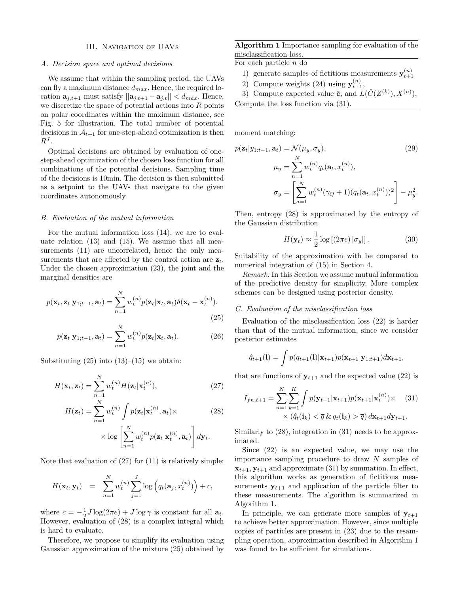#### III. Navigation of UAVs

#### *A. Decision space and optimal decisions*

We assume that within the sampling period, the UAVs can fly a maximum distance *dmax*. Hence, the required location  $\mathbf{a}_{j,t+1}$  must satisfy  $||\mathbf{a}_{j,t+1} - \mathbf{a}_{j,t}|| < d_{max}$ . Hence, we discretize the space of potential actions into *R* points on polar coordinates within the maximum distance, see Fig. 5 for illustration. The total number of potential decisions in  $A_{t+1}$  for one-step-ahead optimization is then  $R^J$ .

Optimal decisions are obtained by evaluation of onestep-ahead optimization of the chosen loss function for all combinations of the potential decisions. Sampling time of the decisions is 10min. The decision is then submitted as a setpoint to the UAVs that navigate to the given coordinates autonomously.

## *B. Evaluation of the mutual information*

For the mutual information loss (14), we are to evaluate relation (13) and (15). We assume that all measurements  $(11)$  are uncorrelated, hence the only measurements that are affected by the control action are **z***t*. Under the chosen approximation (23), the joint and the marginal densities are

$$
p(\mathbf{x}_t, \mathbf{z}_t | \mathbf{y}_{1:t-1}, \mathbf{a}_t) = \sum_{n=1}^{N} w_t^{(n)} p(\mathbf{z}_t | \mathbf{x}_t, \mathbf{a}_t) \delta(\mathbf{x}_t - \mathbf{x}_t^{(n)}).
$$
\n(25)

$$
p(\mathbf{z}_t|\mathbf{y}_{1;t-1},\mathbf{a}_t) = \sum_{n=1}^N w_t^{(n)} p(\mathbf{z}_t|\mathbf{x}_t,\mathbf{a}_t).
$$
 (26)

Substituting  $(25)$  into  $(13)$ – $(15)$  we obtain:

$$
H(\mathbf{x}_t, \mathbf{z}_t) = \sum_{n=1}^{N} w_t^{(n)} H(\mathbf{z}_t | \mathbf{x}_t^{(n)}),
$$
\n(27)

$$
H(\mathbf{z}_t) = \sum_{n=1}^{N} w_t^{(n)} \int p(\mathbf{z}_t | \mathbf{x}_t^{(n)}, \mathbf{a}_t) \times \qquad (28)
$$

$$
\times \log \left[ \sum_{n=1}^{N} w_t^{(n)} p(\mathbf{z}_t | \mathbf{x}_t^{(n)}, \mathbf{a}_t) \right] d\mathbf{y}_t.
$$

Note that evaluation of (27) for (11) is relatively simple:

$$
H(\mathbf{x}_t, \mathbf{y}_t) = \sum_{n=1}^N w_t^{(n)} \sum_{j=1}^J \log \left( q_t(\mathbf{a}_j, x_t^{(n)}) \right) + c,
$$

where  $c = -\frac{1}{2}J\log(2\pi e) + J\log\gamma$  is constant for all  $\mathbf{a}_t$ . However, evaluation of (28) is a complex integral which is hard to evaluate.

Therefore, we propose to simplify its evaluation using Gaussian approximation of the mixture (25) obtained by

**Algorithm 1** Importance sampling for evaluation of the misclassification loss.

For each particle *n* do

- 1) generate samples of fictitious measurements  $\mathbf{y}_{t+1}^{(n)}$
- 2) Compute weights (24) using  $\mathbf{y}_{t+1}^{(n)}$ ,
- 3) Compute expected value  $\hat{\mathbf{c}}$ , and  $L(\hat{C}(Z^{(k)}), X^{(n)})$ ,
- Compute the loss function via (31).

moment matching:

$$
p(\mathbf{z}_t|y_{1:t-1}, \mathbf{a}_t) = \mathcal{N}(\mu_y, \sigma_y),
$$
\n
$$
\mu_y = \sum_{n=1}^N w_t^{(n)} q_t(\mathbf{a}_t, x_t^{(n)}),
$$
\n
$$
\sigma_y = \left[\sum_{n=1}^N w_t^{(n)} (\gamma_Q + 1) (q_t(\mathbf{a}_t, x_t^{(n)}))^2\right] - \mu_y^2.
$$
\n(29)

Then, entropy (28) is approximated by the entropy of the Gaussian distribution

$$
H(\mathbf{y}_t) \approx \frac{1}{2} \log \left[ (2\pi e) \left| \sigma_y \right| \right]. \tag{30}
$$

Suitability of the approximation with be compared to numerical integration of (15) in Section 4.

*Remark:* In this Section we assume mutual information of the predictive density for simplicity. More complex schemes can be designed using posterior density.

#### *C. Evaluation of the misclassification loss*

Evaluation of the misclassification loss (22) is harder than that of the mutual information, since we consider posterior estimates

$$
\hat{q}_{t+1}(l) = \int p(q_{t+1}(l)|\mathbf{x}_{t+1})p(\mathbf{x}_{t+1}|\mathbf{y}_{1:t+1})d\mathbf{x}_{t+1},
$$

that are functions of  $y_{t+1}$  and the expected value (22) is

$$
I_{fn,t+1} = \sum_{n=1}^{N} \sum_{k=1}^{K} \int p(\mathbf{y}_{t+1}|\mathbf{x}_{t+1}) p(\mathbf{x}_{t+1}|\mathbf{x}_{t}^{(n)}) \times (31)
$$
  
 
$$
\times (\hat{q}_{t}(\mathbf{i}_{k}) < \overline{q} \& q_{t}(\mathbf{i}_{k}) > \overline{q}) d\mathbf{x}_{t+1} d\mathbf{y}_{t+1}.
$$

Similarly to (28), integration in (31) needs to be approximated.

Since (22) is an expected value, we may use the importance sampling procedure to draw *N* samples of  $\mathbf{x}_{t+1}, \mathbf{y}_{t+1}$  and approximate (31) by summation. In effect, this algorithm works as generation of fictitious measurements  $y_{t+1}$  and application of the particle filter to these measurements. The algorithm is summarized in Algorithm 1.

In principle, we can generate more samples of  $y_{t+1}$ to achieve better approximation. However, since multiple copies of particles are present in (23) due to the resampling operation, approximation described in Algorithm 1 was found to be sufficient for simulations.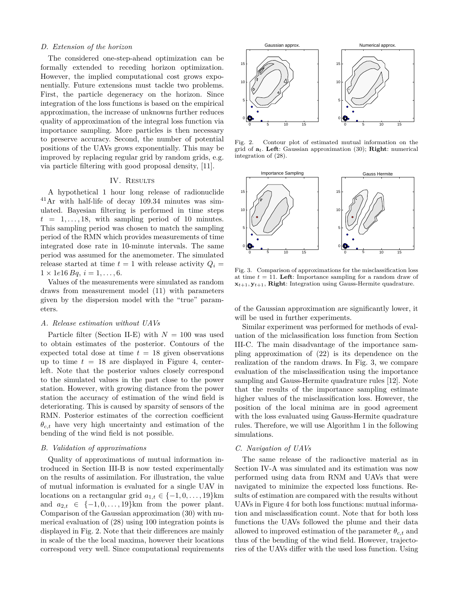#### *D. Extension of the horizon*

The considered one-step-ahead optimization can be formally extended to receding horizon optimization. However, the implied computational cost grows exponentially. Future extensions must tackle two problems. First, the particle degeneracy on the horizon. Since integration of the loss functions is based on the empirical approximation, the increase of unknowns further reduces quality of approximation of the integral loss function via importance sampling. More particles is then necessary to preserve accuracy. Second, the number of potential positions of the UAVs grows exponentially. This may be improved by replacing regular grid by random grids, e.g. via particle filtering with good proposal density, [11].

## IV. RESULTS

A hypothetical 1 hour long release of radionuclide <sup>41</sup>Ar with half-life of decay 109.34 minutes was simulated. Bayesian filtering is performed in time steps  $t = 1, \ldots, 18$ , with sampling period of 10 minutes. This sampling period was chosen to match the sampling period of the RMN which provides measurements of time integrated dose rate in 10-minute intervals. The same period was assumed for the anemometer. The simulated release started at time  $t = 1$  with release activity  $Q_i =$  $1 \times 1e16 Bq, i = 1, \ldots, 6.$ 

Values of the measurements were simulated as random draws from measurement model (11) with parameters given by the dispersion model with the "true" parameters.

## *A. Release estimation without UAVs*

Particle filter (Section II-E) with  $N = 100$  was used to obtain estimates of the posterior. Contours of the expected total dose at time  $t = 18$  given observations up to time  $t = 18$  are displayed in Figure 4, centerleft. Note that the posterior values closely correspond to the simulated values in the part close to the power station. However, with growing distance from the power station the accuracy of estimation of the wind field is deteriorating. This is caused by sparsity of sensors of the RMN. Posterior estimates of the correction coefficient  $\theta_{c,t}$  have very high uncertainty and estimation of the bending of the wind field is not possible.

#### *B. Validation of approximations*

Quality of approximations of mutual information introduced in Section III-B is now tested experimentally on the results of assimilation. For illustration, the value of mutual information is evaluated for a single UAV in locations on a rectangular grid  $a_{1,t} \in \{-1, 0, \ldots, 19\}$ km and  $a_{2,t} \in \{-1,0,\ldots,19\}$ km from the power plant. Comparison of the Gaussian approximation (30) with numerical evaluation of (28) using 100 integration points is displayed in Fig. 2. Note that their differences are mainly in scale of the the local maxima, however their locations correspond very well. Since computational requirements



Fig. 2. Contour plot of estimated mutual information on the grid of **a***t*. **Left**: Gaussian approximation (30); **Right**: numerical integration of (28).



Fig. 3. Comparison of approximations for the misclassification loss at time  $t = 11$ . Left: Importance sampling for a random draw of  $\mathbf{x}_{t+1}, \mathbf{y}_{t+1}, \mathbf{Right}$ : Integration using Gauss-Hermite quadrature.

of the Gaussian approximation are significantly lower, it will be used in further experiments.

Similar experiment was performed for methods of evaluation of the miclassification loss function from Section III-C. The main disadvantage of the importance sampling approximation of (22) is its dependence on the realization of the random draws. In Fig. 3, we compare evaluation of the misclassification using the importance sampling and Gauss-Hermite quadrature rules [12]. Note that the results of the importance sampling estimate higher values of the misclassification loss. However, the position of the local minima are in good agreement with the loss evaluated using Gauss-Hermite quadrature rules. Therefore, we will use Algorithm 1 in the following simulations.

## *C. Navigation of UAVs*

The same release of the radioactive material as in Section IV-A was simulated and its estimation was now performed using data from RNM and UAVs that were navigated to minimize the expected loss functions. Results of estimation are compared with the results without UAVs in Figure 4 for both loss functions: mutual information and misclassification count. Note that for both loss functions the UAVs followed the plume and their data allowed to improved estimation of the parameter  $\theta_{c,t}$  and thus of the bending of the wind field. However, trajectories of the UAVs differ with the used loss function. Using